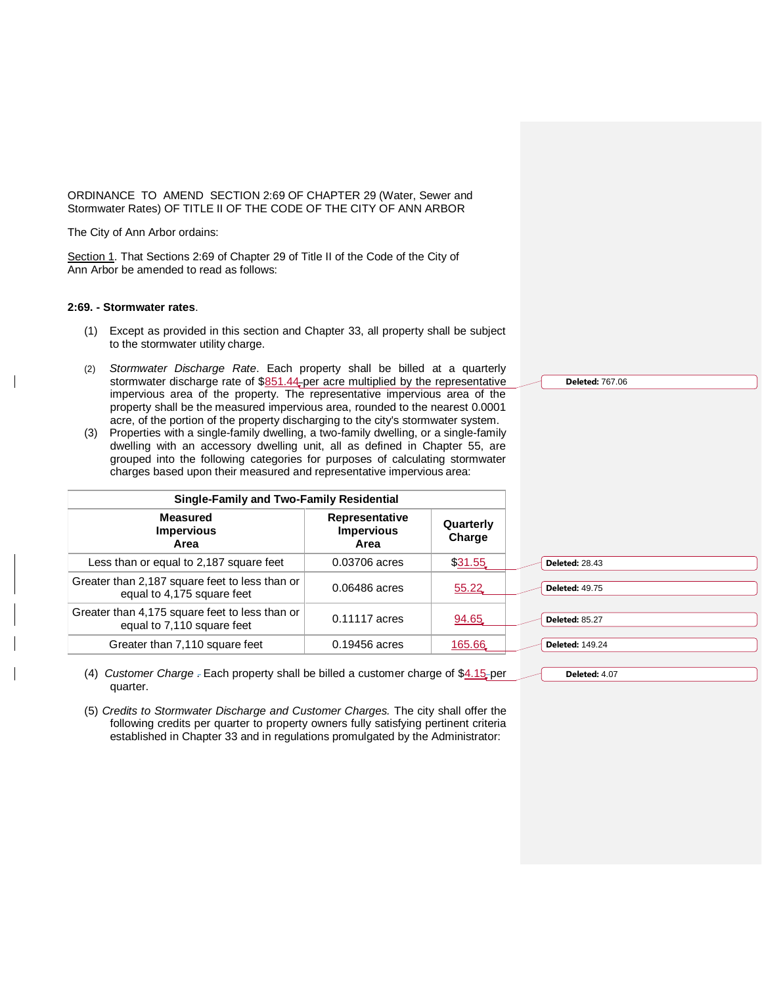ORDINANCE TO AMEND SECTION 2:69 OF CHAPTER 29 (Water, Sewer and Stormwater Rates) OF TITLE II OF THE CODE OF THE CITY OF ANN ARBOR

The City of Ann Arbor ordains:

Section 1. That Sections 2:69 of Chapter 29 of Title II of the Code of the City of Ann Arbor be amended to read as follows:

## **2:69. - Stormwater rates**.

- (1) Except as provided in this section and Chapter 33, all property shall be subject to the stormwater utility charge.
- (2) *Stormwater Discharge Rate*. Each property shall be billed at a quarterly stormwater discharge rate of  $$851.44$  per acre multiplied by the representative impervious area of the property. The representative impervious area of the property shall be the measured impervious area, rounded to the nearest 0.0001 acre, of the portion of the property discharging to the city's stormwater system.
- (3) Properties with a single-family dwelling, a two-family dwelling, or a single-family dwelling with an accessory dwelling unit, all as defined in Chapter 55, are grouped into the following categories for purposes of calculating stormwater charges based upon their measured and representative impervious area:

| Single-Family and Two-Family Residential                                     |                                             |                     |                        |
|------------------------------------------------------------------------------|---------------------------------------------|---------------------|------------------------|
| <b>Measured</b><br><b>Impervious</b><br>Area                                 | Representative<br><b>Impervious</b><br>Area | Quarterly<br>Charge |                        |
| Less than or equal to 2,187 square feet                                      | 0.03706 acres                               | \$31.55             | <b>Deleted: 28.43</b>  |
| Greater than 2,187 square feet to less than or<br>equal to 4,175 square feet | 0.06486 acres                               | 55.22               | <b>Deleted: 49.75</b>  |
| Greater than 4,175 square feet to less than or<br>equal to 7,110 square feet | 0.11117 acres                               | 94.65               | <b>Deleted: 85.27</b>  |
| Greater than 7,110 square feet                                               | 0.19456 acres                               | 165.66              | <b>Deleted: 149.24</b> |

- (4) *Customer Charge* . Each property shall be billed a customer charge of \$4.15 per quarter.
- (5) *Credits to Stormwater Discharge and Customer Charges.* The city shall offer the following credits per quarter to property owners fully satisfying pertinent criteria established in Chapter 33 and in regulations promulgated by the Administrator:

**Deleted:** 767.06

**Deleted:** 4.07